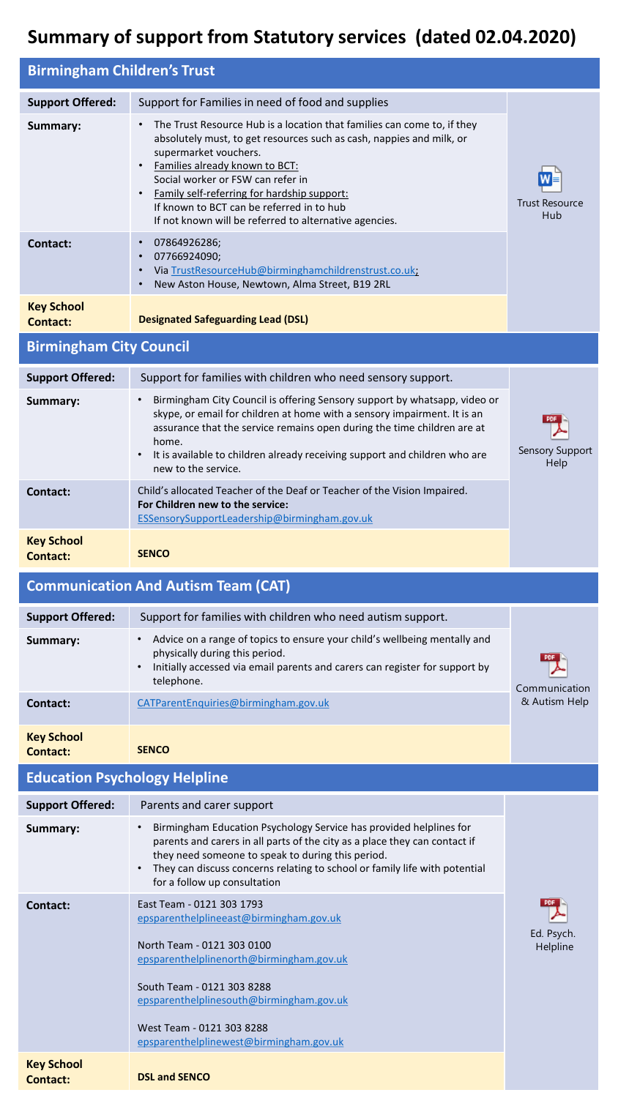## **Summary of support from Statutory services (dated 02.04.2020)**

| <b>Birmingham Children's Trust</b>   |                                                                                                                                                                                                                                                                                                                                      |                                |  |
|--------------------------------------|--------------------------------------------------------------------------------------------------------------------------------------------------------------------------------------------------------------------------------------------------------------------------------------------------------------------------------------|--------------------------------|--|
| <b>Support Offered:</b><br>Summary:  | Support for Families in need of food and supplies<br>The Trust Resource Hub is a location that families can come to, if they<br>absolutely must, to get resources such as cash, nappies and milk, or                                                                                                                                 |                                |  |
|                                      | supermarket vouchers.<br>Families already known to BCT:<br>Social worker or FSW can refer in<br>Family self-referring for hardship support:<br>If known to BCT can be referred in to hub<br>If not known will be referred to alternative agencies.                                                                                   | <b>Trust Resource</b><br>Hub   |  |
| <b>Contact:</b>                      | 07864926286;<br>$\bullet$<br>07766924090;<br>$\bullet$<br>Via TrustResourceHub@birminghamchildrenstrust.co.uk;<br>New Aston House, Newtown, Alma Street, B19 2RL                                                                                                                                                                     |                                |  |
| <b>Key School</b><br><b>Contact:</b> | <b>Designated Safeguarding Lead (DSL)</b>                                                                                                                                                                                                                                                                                            |                                |  |
| <b>Birmingham City Council</b>       |                                                                                                                                                                                                                                                                                                                                      |                                |  |
| <b>Support Offered:</b>              | Support for families with children who need sensory support.                                                                                                                                                                                                                                                                         |                                |  |
| Summary:                             | Birmingham City Council is offering Sensory support by whatsapp, video or<br>$\bullet$<br>skype, or email for children at home with a sensory impairment. It is an<br>assurance that the service remains open during the time children are at<br>home.<br>It is available to children already receiving support and children who are | <b>Sensory Support</b>         |  |
| <b>Contact:</b>                      | new to the service.<br>Child's allocated Teacher of the Deaf or Teacher of the Vision Impaired.<br>For Children new to the service:<br>ESSensorySupportLeadership@birmingham.gov.uk                                                                                                                                                  | Help                           |  |
| <b>Key School</b><br><b>Contact:</b> | <b>SENCO</b>                                                                                                                                                                                                                                                                                                                         |                                |  |
|                                      |                                                                                                                                                                                                                                                                                                                                      |                                |  |
|                                      | <b>Communication And Autism Team (CAT)</b>                                                                                                                                                                                                                                                                                           |                                |  |
| <b>Support Offered:</b>              | Support for families with children who need autism support.                                                                                                                                                                                                                                                                          |                                |  |
| Summary:                             | • Advice on a range of topics to ensure your child's wellbeing mentally and<br>physically during this period.<br>Initially accessed via email parents and carers can register for support by<br>$\bullet$<br>telephone.                                                                                                              |                                |  |
| <b>Contact:</b>                      | CATParentEnquiries@birmingham.gov.uk                                                                                                                                                                                                                                                                                                 | Communication<br>& Autism Help |  |
| <b>Key School</b><br><b>Contact:</b> | <b>SENCO</b>                                                                                                                                                                                                                                                                                                                         |                                |  |
| <b>Education Psychology Helpline</b> |                                                                                                                                                                                                                                                                                                                                      |                                |  |
| <b>Support Offered:</b>              | Parents and carer support                                                                                                                                                                                                                                                                                                            |                                |  |
| Summary:                             | Birmingham Education Psychology Service has provided helplines for<br>parents and carers in all parts of the city as a place they can contact if<br>they need someone to speak to during this period.<br>They can discuss concerns relating to school or family life with potential<br>for a follow up consultation                  |                                |  |
| Contact:                             | East Team - 0121 303 1793<br>epsparenthelplineeast@birmingham.gov.uk<br>North Team - 0121 303 0100<br>epsparenthelplinenorth@birmingham.gov.uk<br>South Team - 0121 303 8288<br>epsparenthelplinesouth@birmingham.gov.uk<br>West Team - 0121 303 8288<br>epsparenthelplinewest@birmingham.gov.uk                                     | Ed. Psych.<br>Helpline         |  |